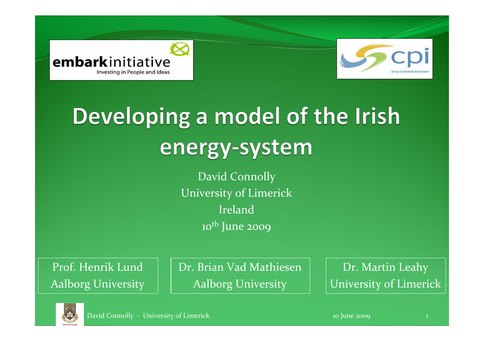



## Developing a model of the Irish energy-system

David Connolly University of Limerick Ireland10<sup>th</sup> June 2009

Prof. Henrik LundAalborg University Dr. Brian Vad Mathiesen Aalborg University

Dr. Martin Leahy University of Limerick

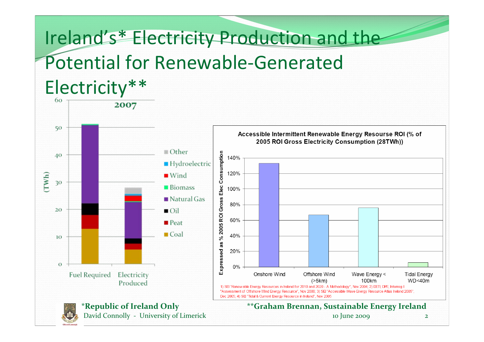#### Ireland's\* Electricity Production and the Potential for Renewable‐GeneratedElectricity\*\*



David Connolly ‐ University of Limerick <sup>10</sup> June 2009 <sup>2</sup>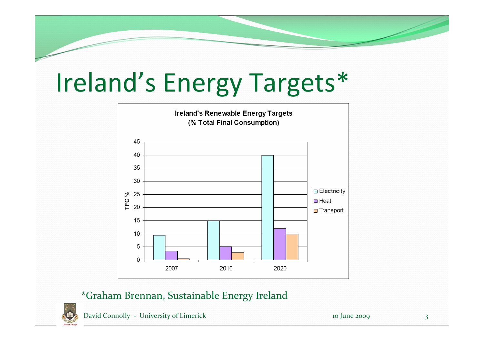# Ireland's Energy Targets\*



#### \*Graham Brennan, Sustainable Energy Ireland



David Connolly - University of Limerick 10 June 2009 3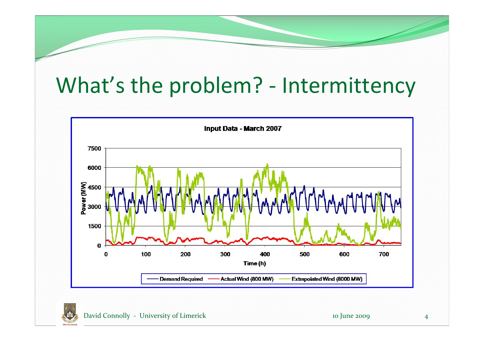#### What's the problem? ‐ Intermittency



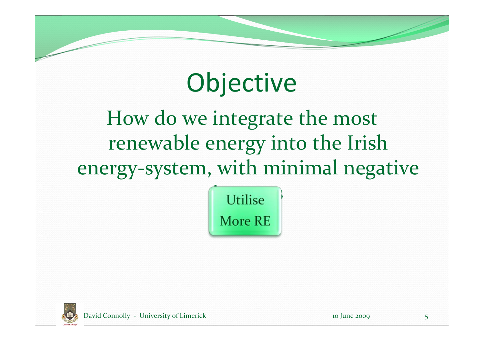#### **Objective**

How do we integrate the most renewable energy into the Irish energy‐system, with minimal negative



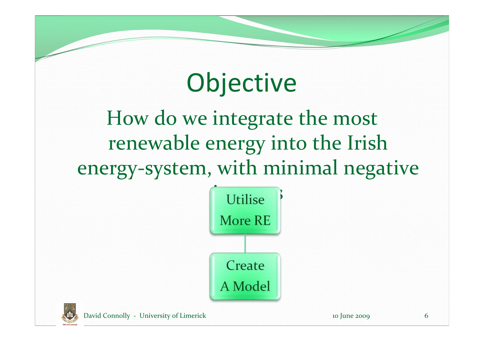#### **Objective**

How do we integrate the most renewable energy into the Irish energy‐system, with minimal negative



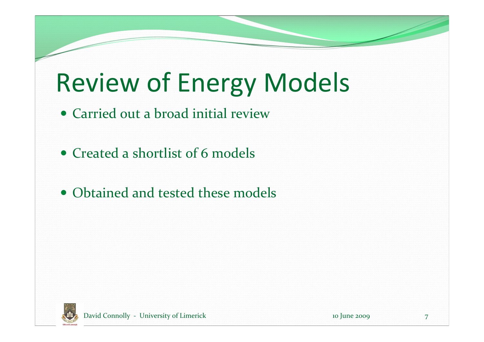## Review of Energy Models

- Carried out a broad initial review
- Created a shortlist of 6 models
- Obtained and tested these models

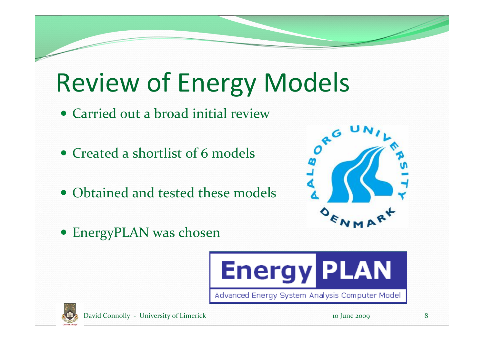## Review of Energy Models

- Carried out a broad initial review
- Created a shortlist of 6 models
- Obtained and tested these models



EnergyPLAN was chosen





David Connolly – University of Limerick 10 June 2009 8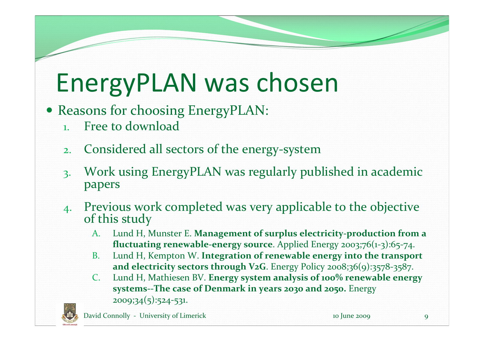### EnergyPLAN was chosen

- Reasons for choosing EnergyPLAN:
	- 1.Free to download
	- 2.Considered all sectors of the energy ‐system
	- 3. Work using EnergyPLAN was regularly published in academic papers
	- 4. Previous work completed was very applicable to the objective this study
		- A. Lund H, Munster E. **Management of surplus electricity‐production from a fluctuating renewable-energy source**. Applied Energy 2003;76(1-3):65-74.
		- B. Lund H, Kempton W. **Integration of renewable energy into the transport and electricity sectors through V2G**. Energy Policy 2008;36(9):3578‐3587.
		- C. Lund H, Mathiesen BV. **Energy system analysis of 100% renewable energy systems‐‐The case of Denmark in years 2030 and 2050.** Energy 2009;34(5):524‐531.

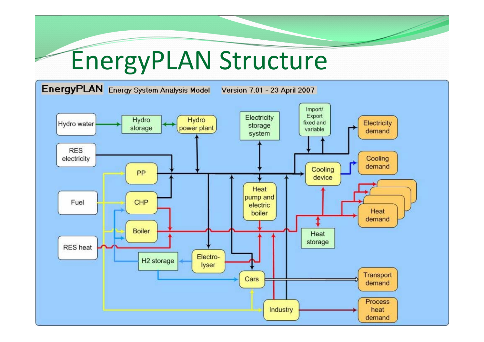## EnergyPLAN Structure

EnergyPLAN Energy System Analysis Model

Version 7.01 - 23 April 2007

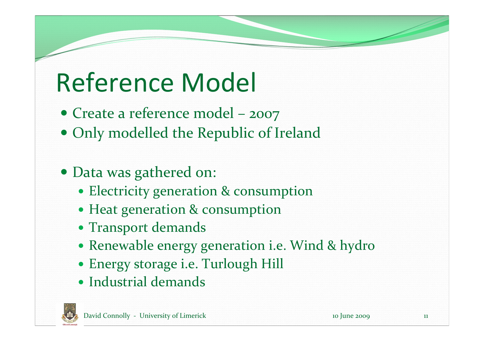## Reference Model

- Create a reference model 2007
- Only modelled the Republic of Ireland
- Data was gathered on:
	- Electricity generation & consumption
	- Heat generation & consumption
	- Transport demands
	- Renewable energy generation i.e. Wind & hydro
	- Energy storage i.e. Turlough Hill
	- Industrial demands

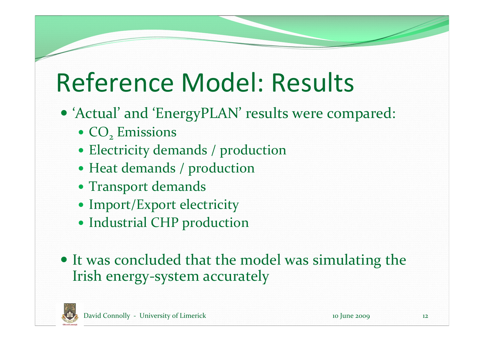#### Reference Model: Results

- 'Actual' and 'EnergyPLAN' results were compared:
	- $\cdot$  CO<sub>2</sub> Emissions
	- Electricity demands / production
	- Heat demands / production
	- Transport demands
	- Import/Export electricity
	- Industrial CHP production
- It was concluded that the model was simulating the Irish energy‐system accurately

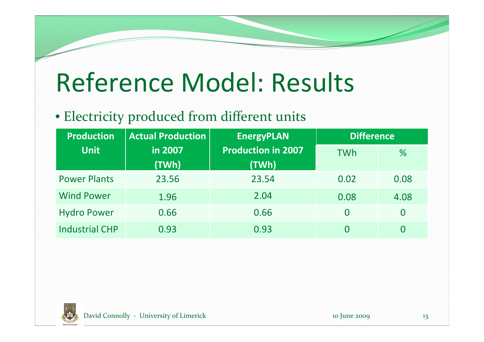#### Reference Model: Results

#### • Electricity produced from different units

| <b>Production</b>     | <b>Actual Production</b> | <b>EnergyPLAN</b>                  | <b>Difference</b> |          |
|-----------------------|--------------------------|------------------------------------|-------------------|----------|
| <b>Unit</b>           | in 2007<br>(TWh)         | <b>Production in 2007</b><br>(TWh) | <b>TWh</b>        | %        |
| <b>Power Plants</b>   | 23.56                    | 23.54                              | 0.02              | 0.08     |
| <b>Wind Power</b>     | 1.96                     | 2.04                               | 0.08              | 4.08     |
| <b>Hydro Power</b>    | 0.66                     | 0.66                               | $\overline{0}$    | $\bf{0}$ |
| <b>Industrial CHP</b> | 0.93                     | 0.93                               | 0                 | $\bf{0}$ |

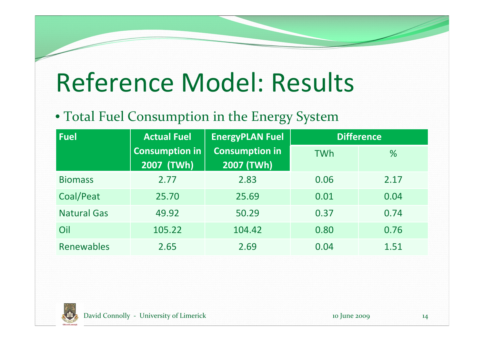#### Reference Model: Results

#### • Total Fuel Consumption in the Energy System

| <b>Fuel</b>        | <b>Actual Fuel</b>                             | <b>EnergyPLAN Fuel</b> | <b>Difference</b> |      |
|--------------------|------------------------------------------------|------------------------|-------------------|------|
|                    | <b>Consumption in</b>                          | <b>Consumption in</b>  | <b>TWh</b>        | %    |
|                    | $\overline{\left(2007\right)}$ (TWh) $^\prime$ | 2007 (TWh)             |                   |      |
| <b>Biomass</b>     | 2.77                                           | 2.83                   | 0.06              | 2.17 |
| Coal/Peat          | 25.70                                          | 25.69                  | 0.01              | 0.04 |
| <b>Natural Gas</b> | 49.92                                          | 50.29                  | 0.37              | 0.74 |
| Oil                | 105.22                                         | 104.42                 | 0.80              | 0.76 |
| Renewables         | 2.65                                           | 2.69                   | 0.04              | 1.51 |

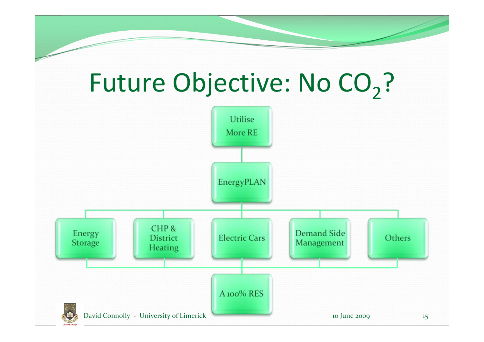